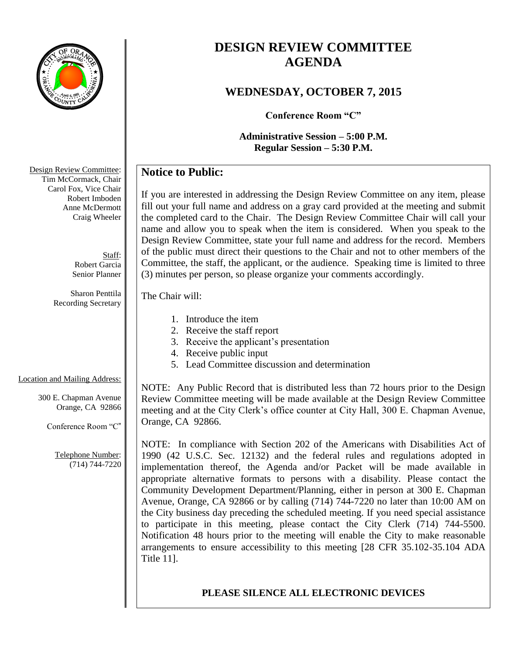

# **DESIGN REVIEW COMMITTEE AGENDA**

### **WEDNESDAY, OCTOBER 7, 2015**

**Conference Room "C"**

### **Administrative Session – 5:00 P.M. Regular Session – 5:30 P.M.**

## **Notice to Public:**

If you are interested in addressing the Design Review Committee on any item, please fill out your full name and address on a gray card provided at the meeting and submit the completed card to the Chair. The Design Review Committee Chair will call your name and allow you to speak when the item is considered. When you speak to the Design Review Committee, state your full name and address for the record. Members of the public must direct their questions to the Chair and not to other members of the Committee, the staff, the applicant, or the audience. Speaking time is limited to three (3) minutes per person, so please organize your comments accordingly.

The Chair will:

- 1. Introduce the item
- 2. Receive the staff report
- 3. Receive the applicant's presentation
- 4. Receive public input
- 5. Lead Committee discussion and determination

Location and Mailing Address:

300 E. Chapman Avenue Orange, CA 92866

Conference Room "C"

Telephone Number: (714) 744-7220 NOTE: Any Public Record that is distributed less than 72 hours prior to the Design Review Committee meeting will be made available at the Design Review Committee meeting and at the City Clerk's office counter at City Hall, 300 E. Chapman Avenue, Orange, CA 92866.

NOTE: In compliance with Section 202 of the Americans with Disabilities Act of 1990 (42 U.S.C. Sec. 12132) and the federal rules and regulations adopted in implementation thereof, the Agenda and/or Packet will be made available in appropriate alternative formats to persons with a disability. Please contact the Community Development Department/Planning, either in person at 300 E. Chapman Avenue, Orange, CA 92866 or by calling (714) 744-7220 no later than 10:00 AM on the City business day preceding the scheduled meeting. If you need special assistance to participate in this meeting, please contact the City Clerk (714) 744-5500. Notification 48 hours prior to the meeting will enable the City to make reasonable arrangements to ensure accessibility to this meeting [28 CFR 35.102-35.104 ADA Title 11].

### **PLEASE SILENCE ALL ELECTRONIC DEVICES**

Design Review Committee: Tim McCormack, Chair Carol Fox, Vice Chair Robert Imboden Anne McDermott Craig Wheeler

> Staff: Robert Garcia Senior Planner

Sharon Penttila Recording Secretary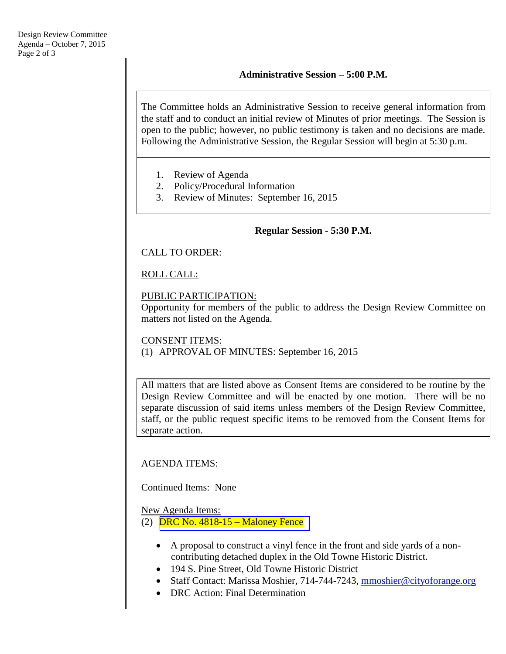#### **Administrative Session – 5:00 P.M.**

The Committee holds an Administrative Session to receive general information from the staff and to conduct an initial review of Minutes of prior meetings. The Session is open to the public; however, no public testimony is taken and no decisions are made. Following the Administrative Session, the Regular Session will begin at 5:30 p.m.

- 1. Review of Agenda
- 2. Policy/Procedural Information
- 3. Review of Minutes: September 16, 2015

#### **Regular Session - 5:30 P.M.**

#### CALL TO ORDER:

#### ROLL CALL:

#### PUBLIC PARTICIPATION:

Opportunity for members of the public to address the Design Review Committee on matters not listed on the Agenda.

#### CONSENT ITEMS:

(1) APPROVAL OF MINUTES: September 16, 2015

All matters that are listed above as Consent Items are considered to be routine by the Design Review Committee and will be enacted by one motion. There will be no separate discussion of said items unless members of the Design Review Committee, staff, or the public request specific items to be removed from the Consent Items for separate action.

#### AGENDA ITEMS:

Continued Items: None

#### New Agenda Items:

(2) DRC No. 4818-15 – [Maloney Fence](http://www.cityoforange.org/civicax/filebank/blobdload.aspx?BlobID=16663)

- A proposal to construct a vinyl fence in the front and side yards of a noncontributing detached duplex in the Old Towne Historic District.
- 194 S. Pine Street, Old Towne Historic District
- Staff Contact: Marissa Moshier, 714-744-7243, [mmoshier@cityoforange.org](mailto:mmoshier@cityoforange.org)
- DRC Action: Final Determination